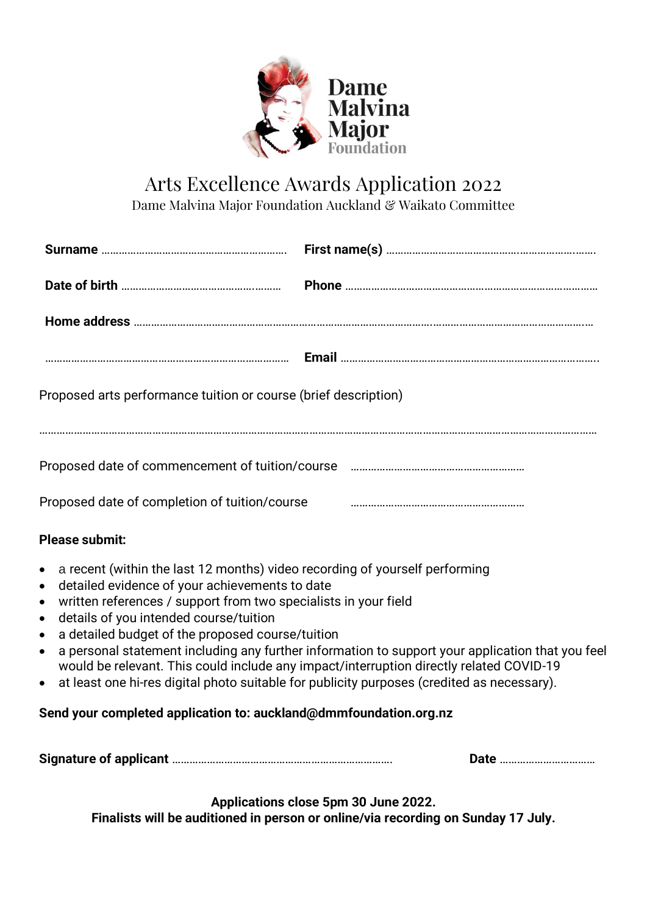

## Arts Excellence Awards Application 2022

Dame Malvina Major Foundation Auckland & Waikato Committee

| Proposed arts performance tuition or course (brief description)                                                                                                                                                                                                                                                                                                                           |                                                                                                                                                                                                                                                                                           |
|-------------------------------------------------------------------------------------------------------------------------------------------------------------------------------------------------------------------------------------------------------------------------------------------------------------------------------------------------------------------------------------------|-------------------------------------------------------------------------------------------------------------------------------------------------------------------------------------------------------------------------------------------------------------------------------------------|
|                                                                                                                                                                                                                                                                                                                                                                                           |                                                                                                                                                                                                                                                                                           |
| Proposed date of completion of tuition/course                                                                                                                                                                                                                                                                                                                                             |                                                                                                                                                                                                                                                                                           |
| <b>Please submit:</b>                                                                                                                                                                                                                                                                                                                                                                     |                                                                                                                                                                                                                                                                                           |
| a recent (within the last 12 months) video recording of yourself performing<br>$\bullet$<br>detailed evidence of your achievements to date<br>$\bullet$<br>written references / support from two specialists in your field<br>$\bullet$<br>details of you intended course/tuition<br>$\bullet$<br>a detailed budget of the proposed course/tuition<br>$\bullet$<br>$\bullet$<br>$\bullet$ | a personal statement including any further information to support your application that you feel<br>would be relevant. This could include any impact/interruption directly related COVID-19<br>at least one hi-res digital photo suitable for publicity purposes (credited as necessary). |
| Send your completed application to: auckland@dmmfoundation.org.nz                                                                                                                                                                                                                                                                                                                         |                                                                                                                                                                                                                                                                                           |

**Signature of applicant** …………………………………………………………………. **Date** ……………………………

**Applications close 5pm 30 June 2022.**

**Finalists will be auditioned in person or online/via recording on Sunday 17 July.**